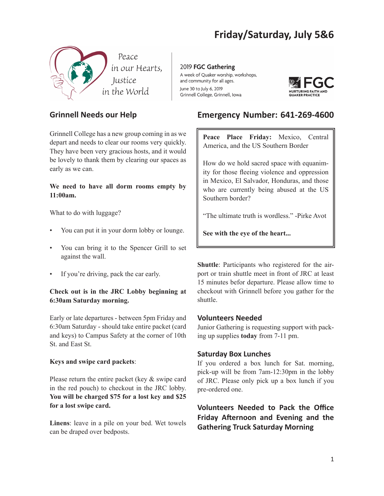# **Friday/Saturday, July 5&6**



### **Grinnell Needs our Help**

Grinnell College has a new group coming in as we depart and needs to clear our rooms very quickly. They have been very gracious hosts, and it would be lovely to thank them by clearing our spaces as early as we can.

**We need to have all dorm rooms empty by 11:00am.**

What to do with luggage?

- You can put it in your dorm lobby or lounge.
- You can bring it to the Spencer Grill to set against the wall.
- If you're driving, pack the car early.

#### **Check out is in the JRC Lobby beginning at 6:30am Saturday morning.**

Early or late departures - between 5pm Friday and 6:30am Saturday - should take entire packet (card and keys) to Campus Safety at the corner of 10th St. and East St.

#### **Keys and swipe card packets**:

Please return the entire packet (key & swipe card in the red pouch) to checkout in the JRC lobby. **You will be charged \$75 for a lost key and \$25 for a lost swipe card.**

**Linens**: leave in a pile on your bed. Wet towels can be draped over bedposts.

2019 FGC Gathering A week of Quaker worship, workshops, and community for all ages. June 30 to July 6, 2019 Grinnell College, Grinnell, Iowa



### **Emergency Number: 641-269-4600**

Peace Place Friday: Mexico, Central America, and the US Southern Border

How do we hold sacred space with equanimity for those fleeing violence and oppression in Mexico, El Salvador, Honduras, and those who are currently being abused at the US Southern border?

"The ultimate truth is wordless." -Pirke Avot

**See with the eye of the heart...**

**Shuttle**: Participants who registered for the airport or train shuttle meet in front of JRC at least 15 minutes befor departure. Please allow time to checkout with Grinnell before you gather for the shuttle.

#### **Volunteers Needed**

Junior Gathering is requesting support with packing up supplies **today** from 7-11 pm.

#### **Saturday Box Lunches**

If you ordered a box lunch for Sat. morning, pick-up will be from 7am-12:30pm in the lobby of JRC. Please only pick up a box lunch if you pre-ordered one.

**Volunteers Needed to Pack the Office Friday Afternoon and Evening and the Gathering Truck Saturday Morning**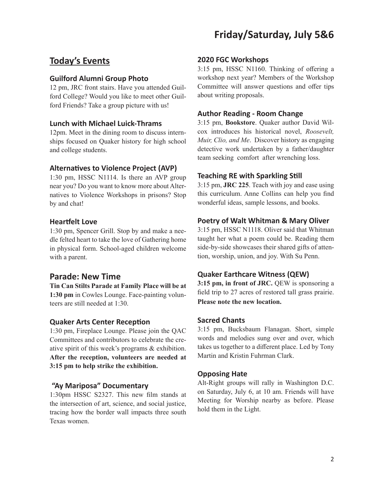## **Friday/Saturday, July 5&6**

## **Today's Events**

#### **Guilford Alumni Group Photo**

12 pm, JRC front stairs. Have you attended Guilford College? Would you like to meet other Guilford Friends? Take a group picture with us!

#### **Lunch with Michael Luick-Thrams**

12pm. Meet in the dining room to discuss internships focused on Quaker history for high school and college students.

#### **Alternatives to Violence Project (AVP)**

1:30 pm, HSSC N1114. Is there an AVP group near you? Do you want to know more about Alternatives to Violence Workshops in prisons? Stop by and chat!

#### **Heartfelt Love**

1:30 pm, Spencer Grill. Stop by and make a needle felted heart to take the love of Gathering home in physical form. School-aged children welcome with a parent.

#### **Parade: New Time**

**Tin Can Stilts Parade at Family Place will be at 1:30 pm** in Cowles Lounge. Face-painting volunteers are still needed at 1:30.

#### **Quaker Arts Center Reception**

1:30 pm, Fireplace Lounge. Please join the QAC Committees and contributors to celebrate the creative spirit of this week's programs & exhibition. **After the reception, volunteers are needed at 3:15 pm to help strike the exhibition.** 

#### **"Ay Mariposa" Documentary**

1:30pm HSSC S2327. This new film stands at the intersection of art, science, and social justice, tracing how the border wall impacts three south Texas women.

#### **2020 FGC Workshops**

3:15 pm, HSSC N1160. Thinking of offering a workshop next year? Members of the Workshop Committee will answer questions and offer tips about writing proposals.

#### **Author Reading - Room Change**

3:15 pm, **Bookstore**. Quaker author David Wilcox introduces his historical novel, *Roosevelt, Muir, Clio, and Me*. Discover history as engaging detective work undertaken by a father/daughter team seeking comfort after wrenching loss.

#### **Teaching RE with Sparkling Still**

3:15 pm, **JRC 225**. Teach with joy and ease using this curriculum. Anne Collins can help you find wonderful ideas, sample lessons, and books.

#### **Poetry of Walt Whitman & Mary Oliver**

3:15 pm, HSSC N1118. Oliver said that Whitman taught her what a poem could be. Reading them side-by-side showcases their shared gifts of attention, worship, union, and joy. With Su Penn.

#### **Quaker Earthcare Witness (QEW)**

**3:15 pm, in front of JRC.** QEW is sponsoring a field trip to 27 acres of restored tall grass prairie. **Please note the new location.**

#### **Sacred Chants**

3:15 pm, Bucksbaum Flanagan. Short, simple words and melodies sung over and over, which takes us together to a different place. Led by Tony Martin and Kristin Fuhrman Clark.

#### **Opposing Hate**

Alt-Right groups will rally in Washington D.C. on Saturday, July 6, at 10 am. Friends will have Meeting for Worship nearby as before. Please hold them in the Light.